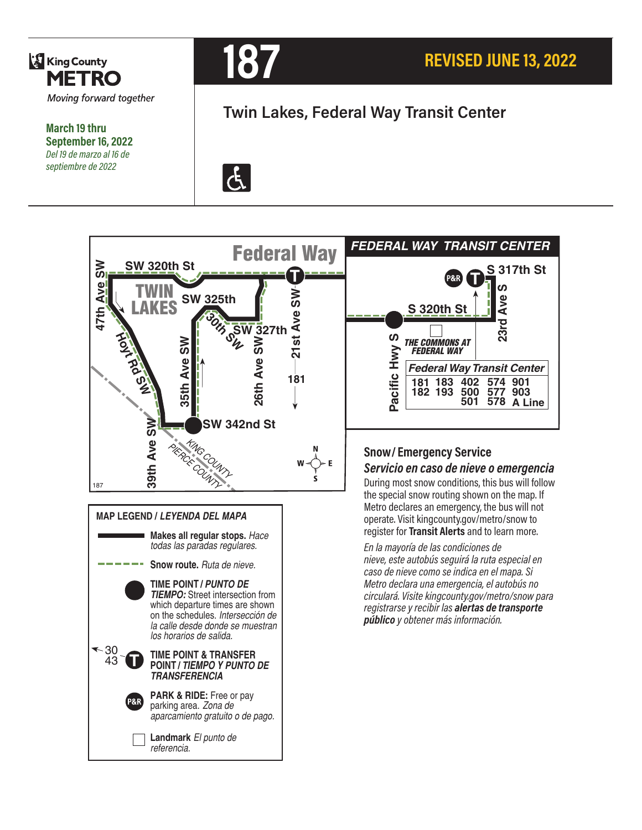

**March 19 thru September 16, 2022** *Del 19 de marzo al 16 de septiembre de 2022*



# **Twin Lakes, Federal Way Transit Center**





During most snow conditions, this bus will follow the special snow routing shown on the map. If Metro declares an emergency, the bus will not operate. Visit kingcounty.gov/metro/snow to register for **Transit Alerts** and to learn more.

*En la mayoría de las condiciones de nieve, este autobús seguirá la ruta especial en caso de nieve como se indica en el mapa. Si Metro declara una emergencia, el autobús no circulará. Visite kingcounty.gov/metro/snow para registrarse y recibir las alertas de transporte público y obtener más información.*